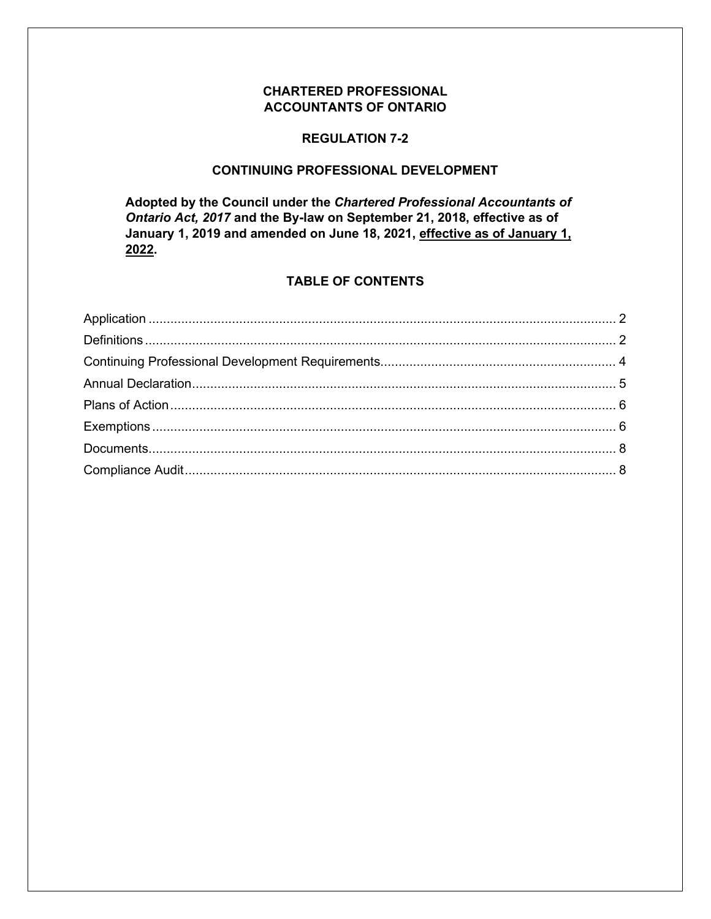## **CHARTERED PROFESSIONAL ACCOUNTANTS OF ONTARIO**

#### **REGULATION 7-2**

#### **CONTINUING PROFESSIONAL DEVELOPMENT**

**Adopted by the Council under the** *Chartered Professional Accountants of Ontario Act, 2017* **and the By-law on September 21, 2018, effective as of January 1, 2019 and amended on June 18, 2021, effective as of January 1, 2022.**

## **TABLE OF CONTENTS**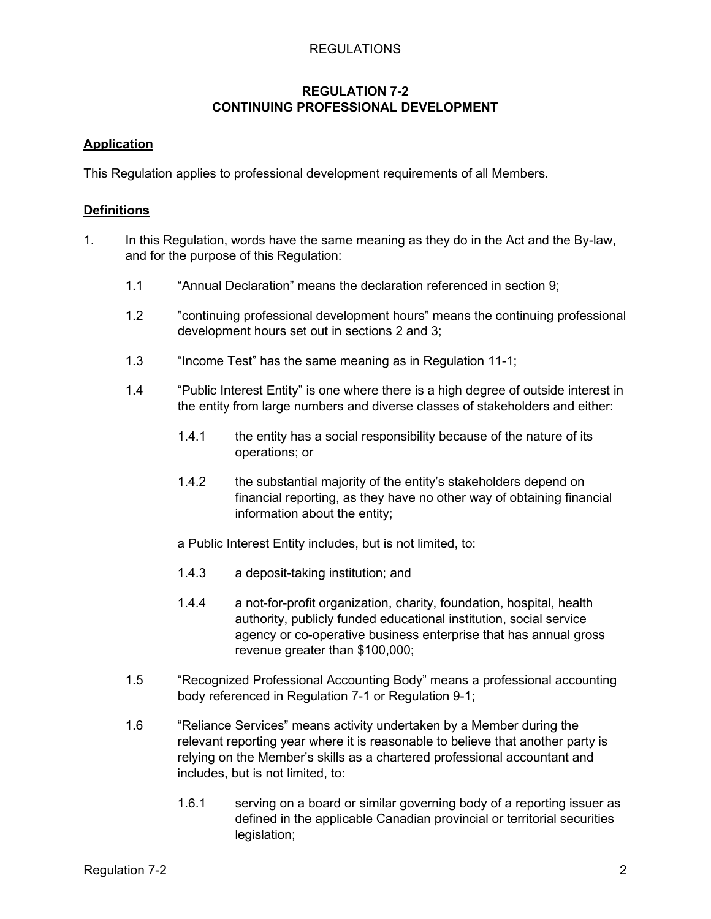## **REGULATION 7-2 CONTINUING PROFESSIONAL DEVELOPMENT**

# <span id="page-1-0"></span>**Application**

<span id="page-1-1"></span>This Regulation applies to professional development requirements of all Members.

# **Definitions**

- 1. In this Regulation, words have the same meaning as they do in the Act and the By-law, and for the purpose of this Regulation:
	- 1.1 "Annual Declaration" means the declaration referenced in [section 9;](#page-4-0)
	- 1.2 "continuing professional development hours" means the continuing professional development hours set out in sections 2 and 3;
	- 1.3 "Income Test" has the same meaning as in Regulation 11-1;
	- 1.4 "Public Interest Entity" is one where there is a high degree of outside interest in the entity from large numbers and diverse classes of stakeholders and either:
		- 1.4.1 the entity has a social responsibility because of the nature of its operations; or
		- 1.4.2 the substantial majority of the entity's stakeholders depend on financial reporting, as they have no other way of obtaining financial information about the entity;
		- a Public Interest Entity includes, but is not limited, to:
		- 1.4.3 a deposit-taking institution; and
		- 1.4.4 a not-for-profit organization, charity, foundation, hospital, health authority, publicly funded educational institution, social service agency or co-operative business enterprise that has annual gross revenue greater than \$100,000;
	- 1.5 "Recognized Professional Accounting Body" means a professional accounting body referenced in Regulation 7-1 or Regulation 9-1;
	- 1.6 "Reliance Services" means activity undertaken by a Member during the relevant reporting year where it is reasonable to believe that another party is relying on the Member's skills as a chartered professional accountant and includes, but is not limited, to:
		- 1.6.1 serving on a board or similar governing body of a reporting issuer as defined in the applicable Canadian provincial or territorial securities legislation;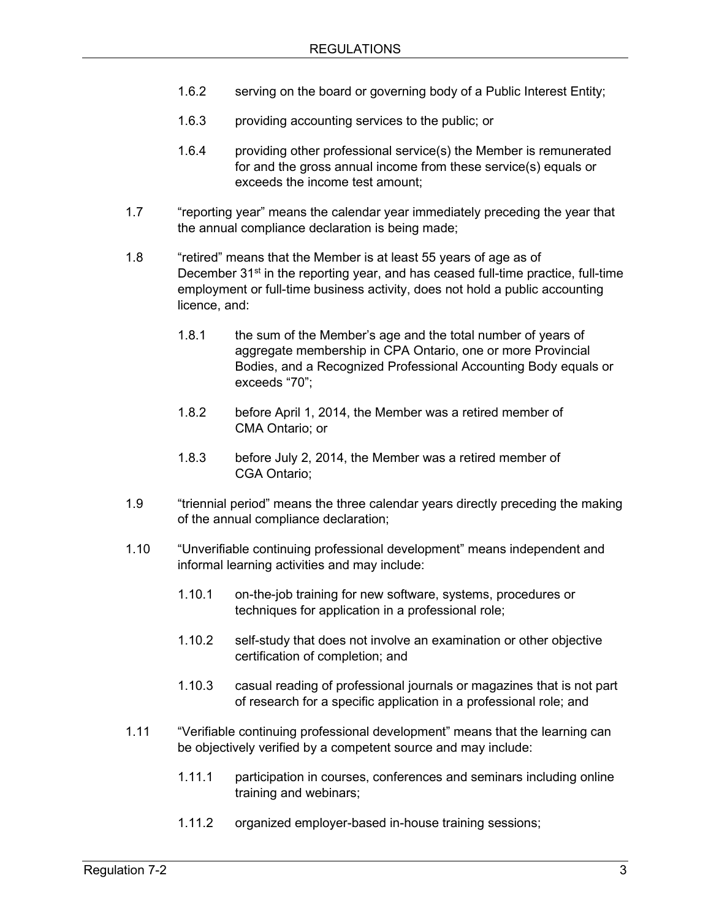- 1.6.2 serving on the board or governing body of a Public Interest Entity;
- 1.6.3 providing accounting services to the public; or
- 1.6.4 providing other professional service(s) the Member is remunerated for and the gross annual income from these service(s) equals or exceeds the income test amount;
- 1.7 "reporting year" means the calendar year immediately preceding the year that the annual compliance declaration is being made;
- 1.8 "retired" means that the Member is at least 55 years of age as of December  $31<sup>st</sup>$  in the reporting year, and has ceased full-time practice, full-time employment or full-time business activity, does not hold a public accounting licence, and:
	- 1.8.1 the sum of the Member's age and the total number of years of aggregate membership in CPA Ontario, one or more Provincial Bodies, and a Recognized Professional Accounting Body equals or exceeds "70";
	- 1.8.2 before April 1, 2014, the Member was a retired member of CMA Ontario; or
	- 1.8.3 before July 2, 2014, the Member was a retired member of CGA Ontario;
- 1.9 "triennial period" means the three calendar years directly preceding the making of the annual compliance declaration;
- 1.10 "Unverifiable continuing professional development" means independent and informal learning activities and may include:
	- 1.10.1 on-the-job training for new software, systems, procedures or techniques for application in a professional role;
	- 1.10.2 self-study that does not involve an examination or other objective certification of completion; and
	- 1.10.3 casual reading of professional journals or magazines that is not part of research for a specific application in a professional role; and
- 1.11 "Verifiable continuing professional development" means that the learning can be objectively verified by a competent source and may include:
	- 1.11.1 participation in courses, conferences and seminars including online training and webinars;
	- 1.11.2 organized employer-based in-house training sessions;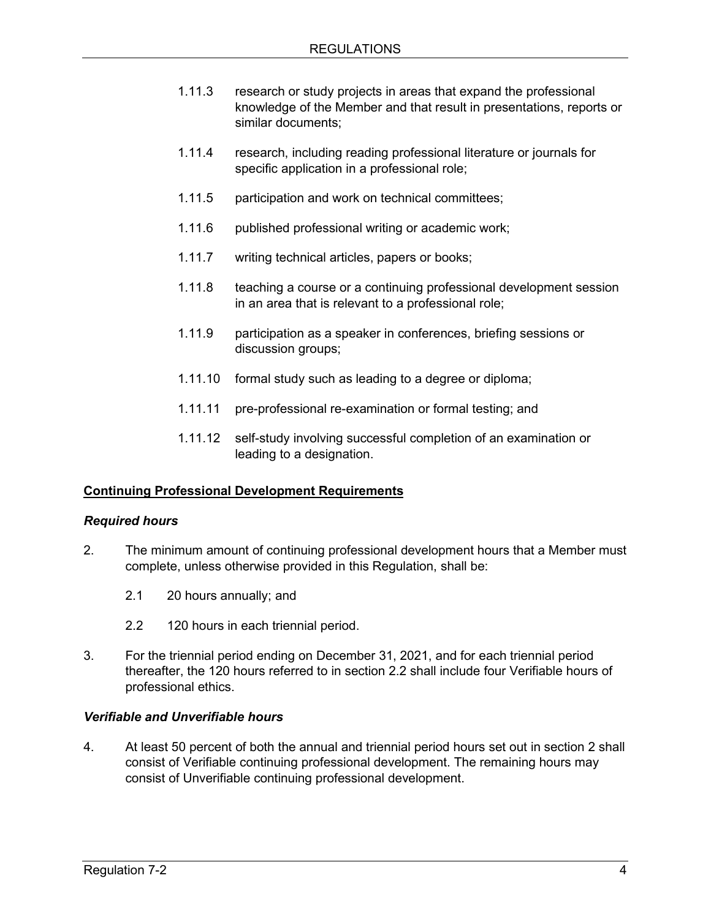- 1.11.3 research or study projects in areas that expand the professional knowledge of the Member and that result in presentations, reports or similar documents;
- 1.11.4 research, including reading professional literature or journals for specific application in a professional role;
- 1.11.5 participation and work on technical committees;
- 1.11.6 published professional writing or academic work;
- 1.11.7 writing technical articles, papers or books;
- 1.11.8 teaching a course or a continuing professional development session in an area that is relevant to a professional role;
- 1.11.9 participation as a speaker in conferences, briefing sessions or discussion groups;
- 1.11.10 formal study such as leading to a degree or diploma;
- 1.11.11 pre-professional re-examination or formal testing; and
- 1.11.12 self-study involving successful completion of an examination or leading to a designation.

### <span id="page-3-0"></span>**Continuing Professional Development Requirements**

#### *Required hours*

- 2. The minimum amount of continuing professional development hours that a Member must complete, unless otherwise provided in this Regulation, shall be:
	- 2.1 20 hours annually; and
	- 2.2 120 hours in each triennial period.
- 3. For the triennial period ending on December 31, 2021, and for each triennial period thereafter, the 120 hours referred to in section 2.2 shall include four Verifiable hours of professional ethics.

#### *Verifiable and Unverifiable hours*

4. At least 50 percent of both the annual and triennial period hours set out in section 2 shall consist of Verifiable continuing professional development. The remaining hours may consist of Unverifiable continuing professional development.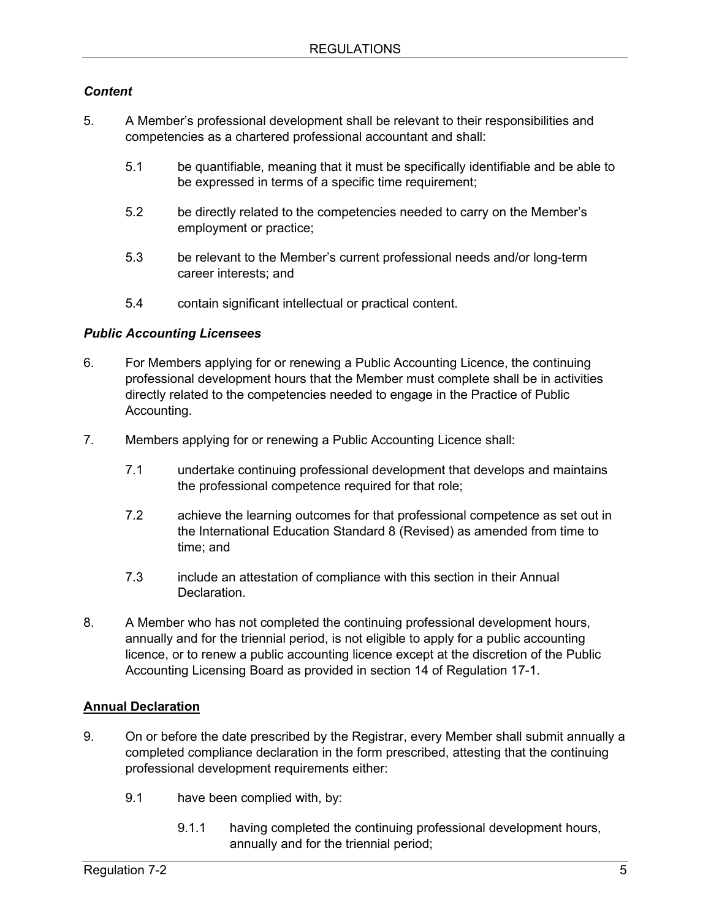## *Content*

- 5. A Member's professional development shall be relevant to their responsibilities and competencies as a chartered professional accountant and shall:
	- 5.1 be quantifiable, meaning that it must be specifically identifiable and be able to be expressed in terms of a specific time requirement;
	- 5.2 be directly related to the competencies needed to carry on the Member's employment or practice;
	- 5.3 be relevant to the Member's current professional needs and/or long-term career interests; and
	- 5.4 contain significant intellectual or practical content.

## *Public Accounting Licensees*

- 6. For Members applying for or renewing a Public Accounting Licence, the continuing professional development hours that the Member must complete shall be in activities directly related to the competencies needed to engage in the Practice of Public Accounting.
- 7. Members applying for or renewing a Public Accounting Licence shall:
	- 7.1 undertake continuing professional development that develops and maintains the professional competence required for that role;
	- 7.2 achieve the learning outcomes for that professional competence as set out in the International Education Standard 8 (Revised) as amended from time to time; and
	- 7.3 include an attestation of compliance with this section in their Annual **Declaration**
- 8. A Member who has not completed the continuing professional development hours, annually and for the triennial period, is not eligible to apply for a public accounting licence, or to renew a public accounting licence except at the discretion of the Public Accounting Licensing Board as provided in section 14 of Regulation 17-1.

# <span id="page-4-0"></span>**Annual Declaration**

- 9. On or before the date prescribed by the Registrar, every Member shall submit annually a completed compliance declaration in the form prescribed, attesting that the continuing professional development requirements either:
	- 9.1 have been complied with, by:
		- 9.1.1 having completed the continuing professional development hours, annually and for the triennial period;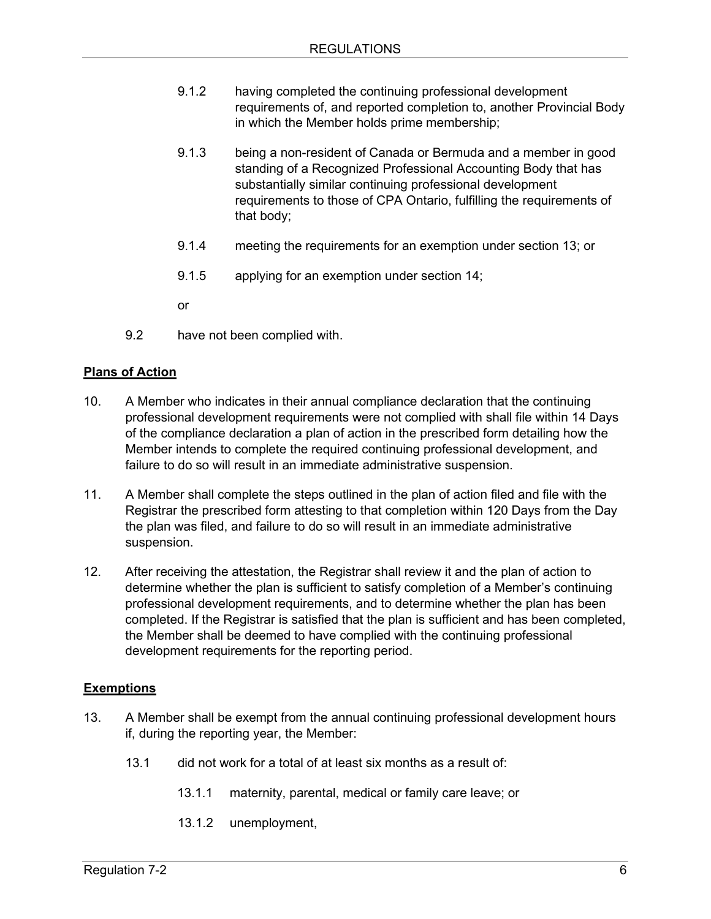- 9.1.2 having completed the continuing professional development requirements of, and reported completion to, another Provincial Body in which the Member holds prime membership;
- 9.1.3 being a non-resident of Canada or Bermuda and a member in good standing of a Recognized Professional Accounting Body that has substantially similar continuing professional development requirements to those of CPA Ontario, fulfilling the requirements of that body;
- 9.1.4 meeting the requirements for an exemption under [section 13;](#page-5-1) or
- 9.1.5 applying for an exemption under [section 14;](#page-5-1)

or

9.2 have not been complied with.

### <span id="page-5-0"></span>**Plans of Action**

- 10. A Member who indicates in their annual compliance declaration that the continuing professional development requirements were not complied with shall file within 14 Days of the compliance declaration a plan of action in the prescribed form detailing how the Member intends to complete the required continuing professional development, and failure to do so will result in an immediate administrative suspension.
- 11. A Member shall complete the steps outlined in the plan of action filed and file with the Registrar the prescribed form attesting to that completion within 120 Days from the Day the plan was filed, and failure to do so will result in an immediate administrative suspension.
- 12. After receiving the attestation, the Registrar shall review it and the plan of action to determine whether the plan is sufficient to satisfy completion of a Member's continuing professional development requirements, and to determine whether the plan has been completed. If the Registrar is satisfied that the plan is sufficient and has been completed, the Member shall be deemed to have complied with the continuing professional development requirements for the reporting period.

### <span id="page-5-1"></span>**Exemptions**

- 13. A Member shall be exempt from the annual continuing professional development hours if, during the reporting year, the Member:
	- 13.1 did not work for a total of at least six months as a result of:
		- 13.1.1 maternity, parental, medical or family care leave; or
		- 13.1.2 unemployment,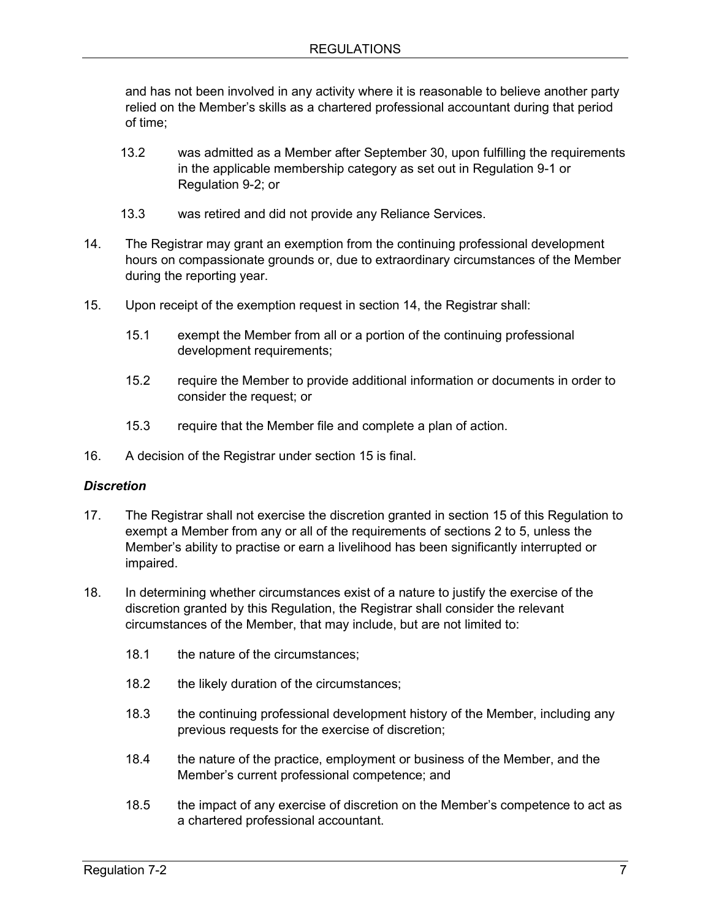and has not been involved in any activity where it is reasonable to believe another party relied on the Member's skills as a chartered professional accountant during that period of time;

- 13.2 was admitted as a Member after September 30, upon fulfilling the requirements in the applicable membership category as set out in Regulation 9-1 or Regulation 9-2; or
- 13.3 was retired and did not provide any Reliance Services.
- 14. The Registrar may grant an exemption from the continuing professional development hours on compassionate grounds or, due to extraordinary circumstances of the Member during the reporting year.
- 15. Upon receipt of the exemption request in section 14, the Registrar shall:
	- 15.1 exempt the Member from all or a portion of the continuing professional development requirements;
	- 15.2 require the Member to provide additional information or documents in order to consider the request; or
	- 15.3 require that the Member file and complete a plan of action.
- 16. A decision of the Registrar under section 15 is final.

### *Discretion*

- 17. The Registrar shall not exercise the discretion granted in section 15 of this Regulation to exempt a Member from any or all of the requirements of [sections 2 to 5,](#page-3-0) unless the Member's ability to practise or earn a livelihood has been significantly interrupted or impaired.
- 18. In determining whether circumstances exist of a nature to justify the exercise of the discretion granted by this Regulation, the Registrar shall consider the relevant circumstances of the Member, that may include, but are not limited to:
	- 18.1 the nature of the circumstances:
	- 18.2 the likely duration of the circumstances;
	- 18.3 the continuing professional development history of the Member, including any previous requests for the exercise of discretion;
	- 18.4 the nature of the practice, employment or business of the Member, and the Member's current professional competence; and
	- 18.5 the impact of any exercise of discretion on the Member's competence to act as a chartered professional accountant.